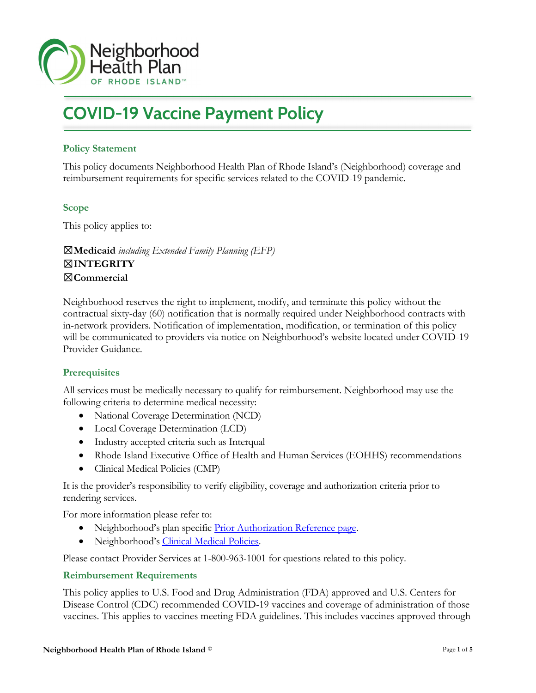

# COVID-19 Vaccine Payment Policy

# Policy Statement

This policy documents Neighborhood Health Plan of Rhode Island's (Neighborhood) coverage and reimbursement requirements for specific services related to the COVID-19 pandemic.

# Scope

f

This policy applies to:

☒Medicaid including Extended Family Planning (EFP) ☒INTEGRITY ☒Commercial

Neighborhood reserves the right to implement, modify, and terminate this policy without the contractual sixty-day (60) notification that is normally required under Neighborhood contracts with in-network providers. Notification of implementation, modification, or termination of this policy will be communicated to providers via notice on Neighborhood's website located under COVID-19 Provider Guidance.

# **Prerequisites**

All services must be medically necessary to qualify for reimbursement. Neighborhood may use the following criteria to determine medical necessity:

- National Coverage Determination (NCD)
- Local Coverage Determination (LCD)
- Industry accepted criteria such as Interqual
- Rhode Island Executive Office of Health and Human Services (EOHHS) recommendations
- Clinical Medical Policies (CMP)

It is the provider's responsibility to verify eligibility, coverage and authorization criteria prior to rendering services.

For more information please refer to:

- Neighborhood's plan specific Prior Authorization Reference page.
- Neighborhood's Clinical Medical Policies.

Please contact Provider Services at 1-800-963-1001 for questions related to this policy.

# Reimbursement Requirements

This policy applies to U.S. Food and Drug Administration (FDA) approved and U.S. Centers for Disease Control (CDC) recommended COVID-19 vaccines and coverage of administration of those vaccines. This applies to vaccines meeting FDA guidelines. This includes vaccines approved through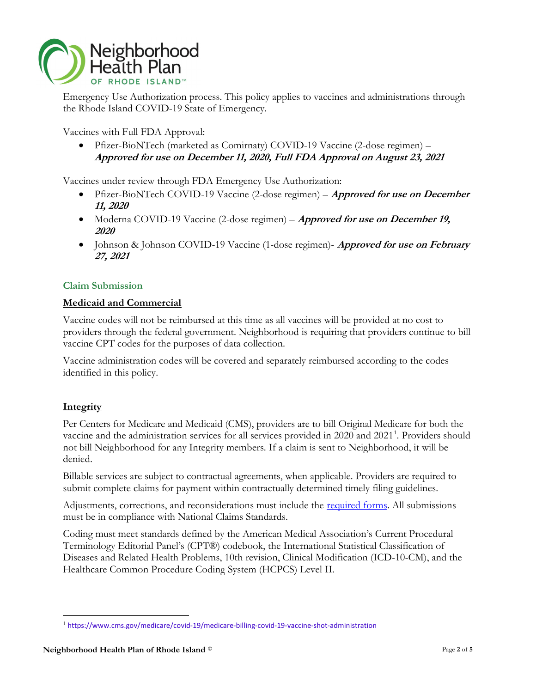

Emergency Use Authorization process. This policy applies to vaccines and administrations through the Rhode Island COVID-19 State of Emergency.

Vaccines with Full FDA Approval:

 Pfizer-BioNTech (marketed as Comirnaty) COVID-19 Vaccine (2-dose regimen) – Approved for use on December 11, 2020, Full FDA Approval on August 23, 2021

Vaccines under review through FDA Emergency Use Authorization:

- Pfizer-BioNTech COVID-19 Vaccine (2-dose regimen) Approved for use on December 11, 2020
- Moderna COVID-19 Vaccine (2-dose regimen) **Approved for use on December 19,** 2020
- $\bullet$  Johnson & Johnson COVID-19 Vaccine (1-dose regimen)- *Approved for use on February* 27, 2021

# Claim Submission

# Medicaid and Commercial

Vaccine codes will not be reimbursed at this time as all vaccines will be provided at no cost to providers through the federal government. Neighborhood is requiring that providers continue to bill vaccine CPT codes for the purposes of data collection.

Vaccine administration codes will be covered and separately reimbursed according to the codes identified in this policy.

# **Integrity**

 $\overline{a}$ 

Per Centers for Medicare and Medicaid (CMS), providers are to bill Original Medicare for both the vaccine and the administration services for all services provided in 2020 and 2021<sup>1</sup>. Providers should not bill Neighborhood for any Integrity members. If a claim is sent to Neighborhood, it will be denied.

Billable services are subject to contractual agreements, when applicable. Providers are required to submit complete claims for payment within contractually determined timely filing guidelines.

Adjustments, corrections, and reconsiderations must include the <u>required forms</u>. All submissions must be in compliance with National Claims Standards.

Coding must meet standards defined by the American Medical Association's Current Procedural Terminology Editorial Panel's (CPT®) codebook, the International Statistical Classification of Diseases and Related Health Problems, 10th revision, Clinical Modification (ICD-10-CM), and the Healthcare Common Procedure Coding System (HCPCS) Level II.

<sup>1</sup> https://www.cms.gov/medicare/covid-19/medicare-billing-covid-19-vaccine-shot-administration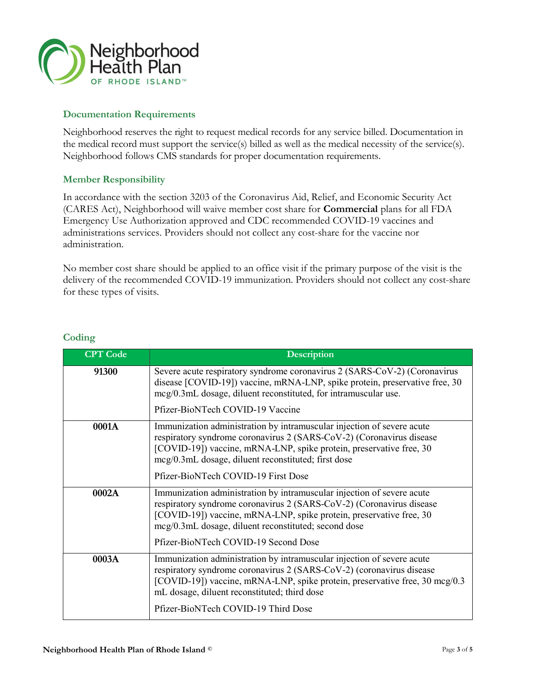

### Documentation Requirements

Neighborhood reserves the right to request medical records for any service billed. Documentation in the medical record must support the service(s) billed as well as the medical necessity of the service(s). Neighborhood follows CMS standards for proper documentation requirements.

### Member Responsibility

In accordance with the section 3203 of the Coronavirus Aid, Relief, and Economic Security Act (CARES Act), Neighborhood will waive member cost share for Commercial plans for all FDA Emergency Use Authorization approved and CDC recommended COVID-19 vaccines and administrations services. Providers should not collect any cost-share for the vaccine nor administration.

No member cost share should be applied to an office visit if the primary purpose of the visit is the delivery of the recommended COVID-19 immunization. Providers should not collect any cost-share for these types of visits.

| <b>CPT</b> Code | <b>Description</b>                                                                                                                                                                                                                                                            |
|-----------------|-------------------------------------------------------------------------------------------------------------------------------------------------------------------------------------------------------------------------------------------------------------------------------|
| 91300           | Severe acute respiratory syndrome coronavirus 2 (SARS-CoV-2) (Coronavirus<br>disease [COVID-19]) vaccine, mRNA-LNP, spike protein, preservative free, 30<br>mcg/0.3mL dosage, diluent reconstituted, for intramuscular use.<br>Pfizer-BioNTech COVID-19 Vaccine               |
| 0001A           | Immunization administration by intramuscular injection of severe acute<br>respiratory syndrome coronavirus 2 (SARS-CoV-2) (Coronavirus disease<br>[COVID-19]) vaccine, mRNA-LNP, spike protein, preservative free, 30<br>mcg/0.3mL dosage, diluent reconstituted; first dose  |
|                 | Pfizer-BioNTech COVID-19 First Dose                                                                                                                                                                                                                                           |
| 0002A           | Immunization administration by intramuscular injection of severe acute<br>respiratory syndrome coronavirus 2 (SARS-CoV-2) (Coronavirus disease<br>[COVID-19]) vaccine, mRNA-LNP, spike protein, preservative free, 30<br>mcg/0.3mL dosage, diluent reconstituted; second dose |
|                 | Pfizer-BioNTech COVID-19 Second Dose                                                                                                                                                                                                                                          |
| 0003A           | Immunization administration by intramuscular injection of severe acute<br>respiratory syndrome coronavirus 2 (SARS-CoV-2) (coronavirus disease<br>[COVID-19]) vaccine, mRNA-LNP, spike protein, preservative free, 30 mcg/0.3<br>mL dosage, diluent reconstituted; third dose |
|                 | Pfizer-BioNTech COVID-19 Third Dose                                                                                                                                                                                                                                           |

# **Coding**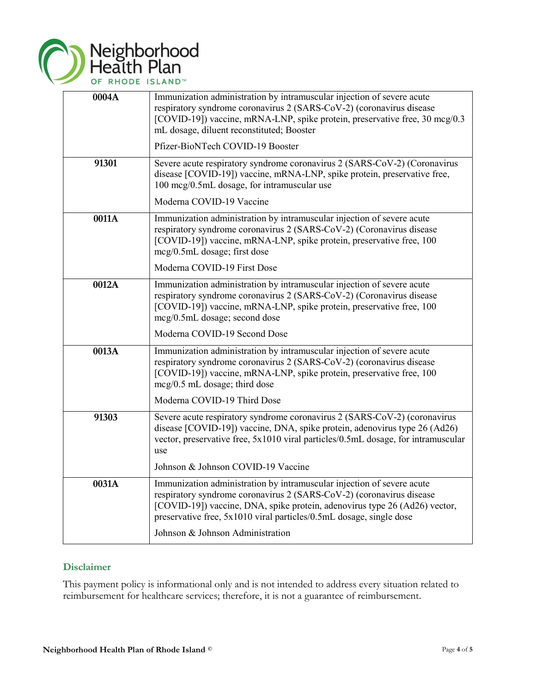

| 0004A | Immunization administration by intramuscular injection of severe acute<br>respiratory syndrome coronavirus 2 (SARS-CoV-2) (coronavirus disease<br>[COVID-19]) vaccine, mRNA-LNP, spike protein, preservative free, 30 mcg/0.3<br>mL dosage, diluent reconstituted; Booster<br>Pfizer-BioNTech COVID-19 Booster                          |
|-------|-----------------------------------------------------------------------------------------------------------------------------------------------------------------------------------------------------------------------------------------------------------------------------------------------------------------------------------------|
| 91301 | Severe acute respiratory syndrome coronavirus 2 (SARS-CoV-2) (Coronavirus<br>disease [COVID-19]) vaccine, mRNA-LNP, spike protein, preservative free,<br>100 mcg/0.5mL dosage, for intramuscular use<br>Moderna COVID-19 Vaccine                                                                                                        |
| 0011A | Immunization administration by intramuscular injection of severe acute<br>respiratory syndrome coronavirus 2 (SARS-CoV-2) (Coronavirus disease<br>[COVID-19]) vaccine, mRNA-LNP, spike protein, preservative free, 100<br>mcg/0.5mL dosage; first dose<br>Moderna COVID-19 First Dose                                                   |
| 0012A | Immunization administration by intramuscular injection of severe acute<br>respiratory syndrome coronavirus 2 (SARS-CoV-2) (Coronavirus disease<br>[COVID-19]) vaccine, mRNA-LNP, spike protein, preservative free, 100<br>mcg/0.5mL dosage; second dose<br>Moderna COVID-19 Second Dose                                                 |
| 0013A | Immunization administration by intramuscular injection of severe acute<br>respiratory syndrome coronavirus 2 (SARS-CoV-2) (coronavirus disease<br>[COVID-19]) vaccine, mRNA-LNP, spike protein, preservative free, 100<br>$mcg/0.5$ mL dosage; third dose<br>Moderna COVID-19 Third Dose                                                |
| 91303 | Severe acute respiratory syndrome coronavirus 2 (SARS-CoV-2) (coronavirus<br>disease [COVID-19]) vaccine, DNA, spike protein, adenovirus type 26 (Ad26)<br>vector, preservative free, 5x1010 viral particles/0.5mL dosage, for intramuscular<br>use<br>Johnson & Johnson COVID-19 Vaccine                                               |
| 0031A | Immunization administration by intramuscular injection of severe acute<br>respiratory syndrome coronavirus 2 (SARS-CoV-2) (coronavirus disease<br>[COVID-19]) vaccine, DNA, spike protein, adenovirus type 26 (Ad26) vector,<br>preservative free, 5x1010 viral particles/0.5mL dosage, single dose<br>Johnson & Johnson Administration |

# Disclaimer

This payment policy is informational only and is not intended to address every situation related to reimbursement for healthcare services; therefore, it is not a guarantee of reimbursement.